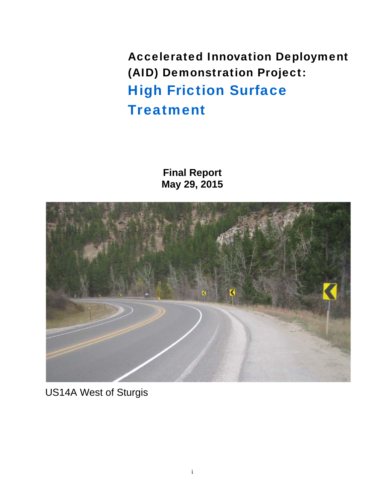Accelerated Innovation Deployment (AID) Demonstration Project: High Friction Surface **Treatment** 

> **Final Report May 29, 2015**



US14A West of Sturgis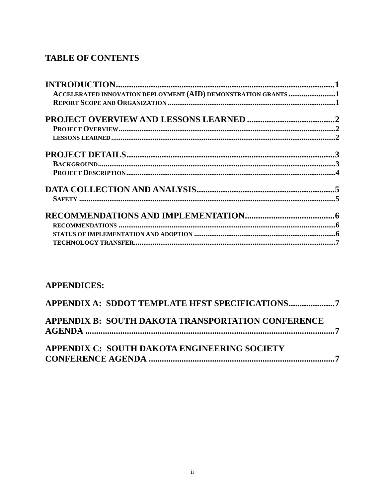## **TABLE OF CONTENTS**

| ACCELERATED INNOVATION DEPLOYMENT (AID) DEMONSTRATION GRANTS 1                                                                                                                                                                |  |
|-------------------------------------------------------------------------------------------------------------------------------------------------------------------------------------------------------------------------------|--|
|                                                                                                                                                                                                                               |  |
|                                                                                                                                                                                                                               |  |
|                                                                                                                                                                                                                               |  |
|                                                                                                                                                                                                                               |  |
|                                                                                                                                                                                                                               |  |
| $\textbf{BACKGROUND} \textbf{} \textbf{} \textbf{} \textbf{} \textbf{} \textbf{} \textbf{} \textbf{} \textbf{} \textbf{} \textbf{} \textbf{} \textbf{} \textbf{} \textbf{} \textbf{} \textbf{} \textbf{} \textbf{} \textbf{}$ |  |
|                                                                                                                                                                                                                               |  |
|                                                                                                                                                                                                                               |  |
|                                                                                                                                                                                                                               |  |
|                                                                                                                                                                                                                               |  |
|                                                                                                                                                                                                                               |  |
|                                                                                                                                                                                                                               |  |
|                                                                                                                                                                                                                               |  |
|                                                                                                                                                                                                                               |  |

## **APPENDICES:**

| APPENDIX B: SOUTH DAKOTA TRANSPORTATION CONFERENCE |  |
|----------------------------------------------------|--|
| APPENDIX C: SOUTH DAKOTA ENGINEERING SOCIETY       |  |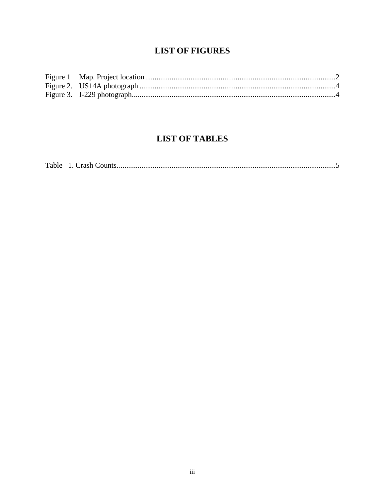## **LIST OF FIGURES**

## **LIST OF TABLES**

| Table |  |  |
|-------|--|--|
|-------|--|--|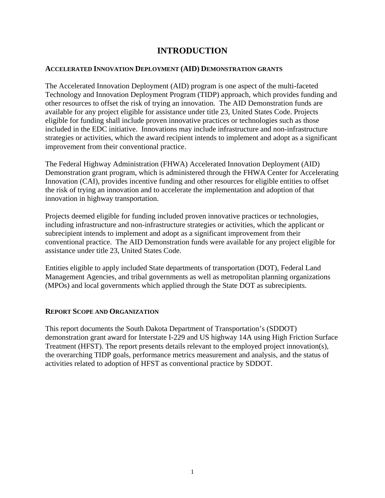## **INTRODUCTION**

## <span id="page-3-0"></span>**ACCELERATED INNOVATION DEPLOYMENT (AID) DEMONSTRATION GRANTS**

The Accelerated Innovation Deployment (AID) program is one aspect of the multi-faceted Technology and Innovation Deployment Program (TIDP) approach, which provides funding and other resources to offset the risk of trying an innovation. The AID Demonstration funds are available for any project eligible for assistance under title 23, United States Code. Projects eligible for funding shall include proven innovative practices or technologies such as those included in the EDC initiative. Innovations may include infrastructure and non-infrastructure strategies or activities, which the award recipient intends to implement and adopt as a significant improvement from their conventional practice.

The Federal Highway Administration (FHWA) Accelerated Innovation Deployment (AID) Demonstration grant program, which is administered through the FHWA Center for Accelerating Innovation (CAI), provides incentive funding and other resources for eligible entities to offset the risk of trying an innovation and to accelerate the implementation and adoption of that innovation in highway transportation.

Projects deemed eligible for funding included proven innovative practices or technologies, including infrastructure and non-infrastructure strategies or activities, which the applicant or subrecipient intends to implement and adopt as a significant improvement from their conventional practice. The AID Demonstration funds were available for any project eligible for assistance under title 23, United States Code.

Entities eligible to apply included State departments of transportation (DOT), Federal Land Management Agencies, and tribal governments as well as metropolitan planning organizations (MPOs) and local governments which applied through the State DOT as subrecipients.

#### **REPORT SCOPE AND ORGANIZATION**

This report documents the South Dakota Department of Transportation's (SDDOT) demonstration grant award for Interstate I-229 and US highway 14A using High Friction Surface Treatment (HFST). The report presents details relevant to the employed project innovation(s), the overarching TIDP goals, performance metrics measurement and analysis, and the status of activities related to adoption of HFST as conventional practice by SDDOT.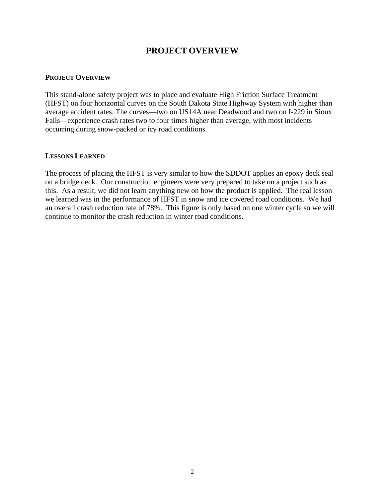## **PROJECT OVERVIEW**

#### <span id="page-4-0"></span>**PROJECT OVERVIEW**

This stand-alone safety project was to place and evaluate High Friction Surface Treatment (HFST) on four horizontal curves on the South Dakota State Highway System with higher than average accident rates. The curves—two on US14A near Deadwood and two on I-229 in Sioux Falls—experience crash rates two to four times higher than average, with most incidents occurring during snow-packed or icy road conditions.

#### **LESSONS LEARNED**

The process of placing the HFST is very similar to how the SDDOT applies an epoxy deck seal on a bridge deck. Our construction engineers were very prepared to take on a project such as this. As a result, we did not learn anything new on how the product is applied. The real lesson we learned was in the performance of HFST in snow and ice covered road conditions. We had an overall crash reduction rate of 78%. This figure is only based on one winter cycle so we will continue to monitor the crash reduction in winter road conditions.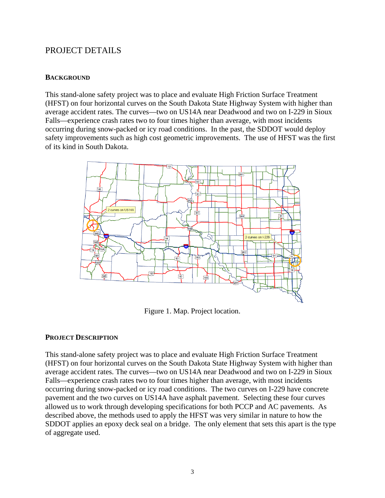## <span id="page-5-0"></span>PROJECT DETAILS

## **BACKGROUND**

This stand-alone safety project was to place and evaluate High Friction Surface Treatment (HFST) on four horizontal curves on the South Dakota State Highway System with higher than average accident rates. The curves—two on US14A near Deadwood and two on I-229 in Sioux Falls—experience crash rates two to four times higher than average, with most incidents occurring during snow-packed or icy road conditions. In the past, the SDDOT would deploy safety improvements such as high cost geometric improvements. The use of HFST was the first of its kind in South Dakota.



Figure 1. Map. Project location.

#### **PROJECT DESCRIPTION**

This stand-alone safety project was to place and evaluate High Friction Surface Treatment (HFST) on four horizontal curves on the South Dakota State Highway System with higher than average accident rates. The curves—two on US14A near Deadwood and two on I-229 in Sioux Falls—experience crash rates two to four times higher than average, with most incidents occurring during snow-packed or icy road conditions. The two curves on I-229 have concrete pavement and the two curves on US14A have asphalt pavement. Selecting these four curves allowed us to work through developing specifications for both PCCP and AC pavements. As described above, the methods used to apply the HFST was very similar in nature to how the SDDOT applies an epoxy deck seal on a bridge. The only element that sets this apart is the type of aggregate used.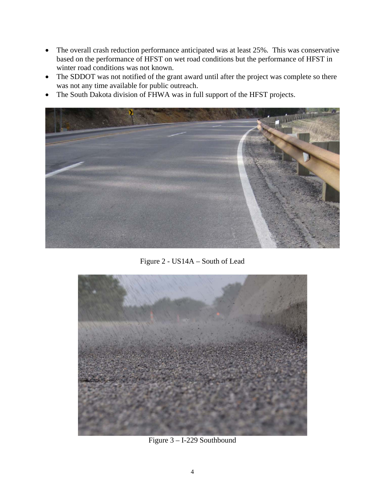- <span id="page-6-0"></span> The overall crash reduction performance anticipated was at least 25%*.* This was conservative based on the performance of HFST on wet road conditions but the performance of HFST in winter road conditions was not known.
- The SDDOT was not notified of the grant award until after the project was complete so there was not any time available for public outreach.
- The South Dakota division of FHWA was in full support of the HFST projects.



Figure 2 - US14A – South of Lead



Figure 3 – I-229 Southbound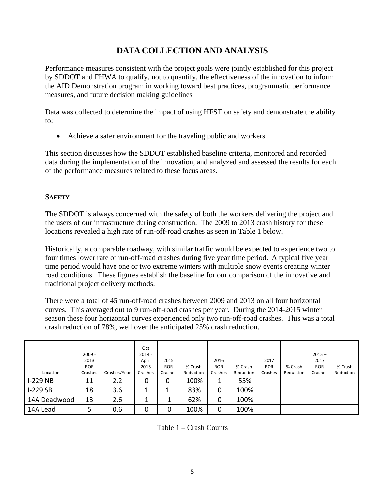## **DATA COLLECTION AND ANALYSIS**

Performance measures consistent with the project goals were jointly established for this project by SDDOT and FHWA to qualify, not to quantify, the effectiveness of the innovation to inform the AID Demonstration program in working toward best practices, programmatic performance measures, and future decision making guidelines

Data was collected to determine the impact of using HFST on safety and demonstrate the ability to:

Achieve a safer environment for the traveling public and workers

This section discusses how the SDDOT established baseline criteria, monitored and recorded data during the implementation of the innovation, and analyzed and assessed the results for each of the performance measures related to these focus areas.

## **SAFETY**

The SDDOT is always concerned with the safety of both the workers delivering the project and the users of our infrastructure during construction. The 2009 to 2013 crash history for these locations revealed a high rate of run-off-road crashes as seen in Table 1 below.

Historically, a comparable roadway, with similar traffic would be expected to experience two to four times lower rate of run-off-road crashes during five year time period. A typical five year time period would have one or two extreme winters with multiple snow events creating winter road conditions. These figures establish the baseline for our comparison of the innovative and traditional project delivery methods.

There were a total of 45 run-off-road crashes between 2009 and 2013 on all four horizontal curves. This averaged out to 9 run-off-road crashes per year. During the 2014-2015 winter season these four horizontal curves experienced only two run-off-road crashes. This was a total crash reduction of 78%, well over the anticipated 25% crash reduction.

|              |            |              | Oct      |            |           |            |           |            |           |            |           |
|--------------|------------|--------------|----------|------------|-----------|------------|-----------|------------|-----------|------------|-----------|
|              | $2009 -$   |              | $2014 -$ |            |           |            |           |            |           | $2015 -$   |           |
|              | 2013       |              | April    | 2015       |           | 2016       |           | 2017       |           | 2017       |           |
|              | <b>ROR</b> |              | 2015     | <b>ROR</b> | % Crash   | <b>ROR</b> | % Crash   | <b>ROR</b> | % Crash   | <b>ROR</b> | % Crash   |
| Location     | Crashes    | Crashes/Year | Crashes  | Crashes    | Reduction | Crashes    | Reduction | Crashes    | Reduction | Crashes    | Reduction |
| $I-229 NB$   | 11         | 2.2          | 0        | 0          | 100%      |            | 55%       |            |           |            |           |
| $I-229SB$    | 18         | 3.6          |          |            | 83%       | 0          | 100%      |            |           |            |           |
| 14A Deadwood | 13         | 2.6          | ┻        | ᆂ          | 62%       | 0          | 100%      |            |           |            |           |
| 14A Lead     | 5          | 0.6          | 0        | 0          | 100%      | 0          | 100%      |            |           |            |           |

Table 1 – Crash Counts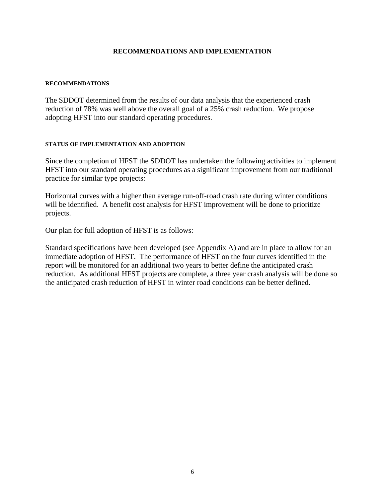#### **RECOMMENDATIONS AND IMPLEMENTATION**

#### <span id="page-8-0"></span>**RECOMMENDATIONS**

The SDDOT determined from the results of our data analysis that the experienced crash reduction of 78% was well above the overall goal of a 25% crash reduction. We propose adopting HFST into our standard operating procedures.

#### **STATUS OF IMPLEMENTATION AND ADOPTION**

Since the completion of HFST the SDDOT has undertaken the following activities to implement HFST into our standard operating procedures as a significant improvement from our traditional practice for similar type projects:

Horizontal curves with a higher than average run-off-road crash rate during winter conditions will be identified. A benefit cost analysis for HFST improvement will be done to prioritize projects.

Our plan for full adoption of HFST is as follows:

Standard specifications have been developed (see Appendix A) and are in place to allow for an immediate adoption of HFST. The performance of HFST on the four curves identified in the report will be monitored for an additional two years to better define the anticipated crash reduction. As additional HFST projects are complete, a three year crash analysis will be done so the anticipated crash reduction of HFST in winter road conditions can be better defined.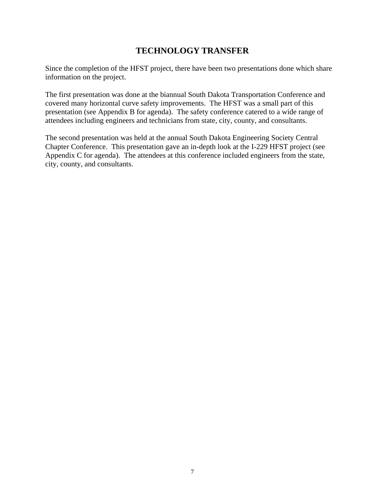## **TECHNOLOGY TRANSFER**

<span id="page-9-0"></span>Since the completion of the HFST project, there have been two presentations done which share information on the project.

The first presentation was done at the biannual South Dakota Transportation Conference and covered many horizontal curve safety improvements. The HFST was a small part of this presentation (see Appendix B for agenda). The safety conference catered to a wide range of attendees including engineers and technicians from state, city, county, and consultants.

The second presentation was held at the annual South Dakota Engineering Society Central Chapter Conference. This presentation gave an in-depth look at the I-229 HFST project (see Appendix C for agenda). The attendees at this conference included engineers from the state, city, county, and consultants.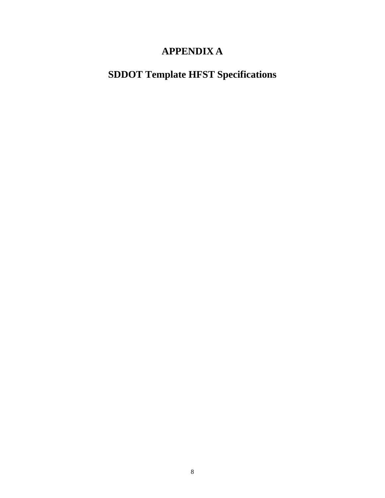## **APPENDIX A**

## **SDDOT Template HFST Specifications**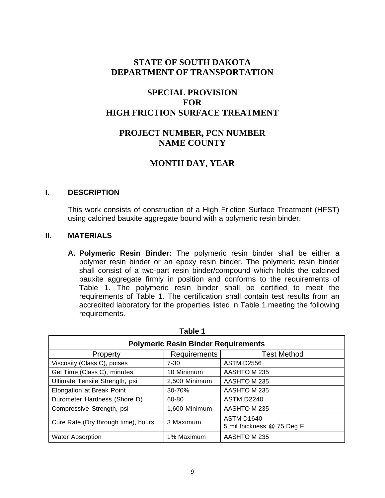## **STATE OF SOUTH DAKOTA DEPARTMENT OF TRANSPORTATION**

## **SPECIAL PROVISION FOR HIGH FRICTION SURFACE TREATMENT**

## **PROJECT NUMBER, PCN NUMBER NAME COUNTY**

## **MONTH DAY, YEAR**

#### **I. DESCRIPTION**

This work consists of construction of a High Friction Surface Treatment (HFST) using calcined bauxite aggregate bound with a polymeric resin binder.

## **II. MATERIALS**

**A. Polymeric Resin Binder:** The polymeric resin binder shall be either a polymer resin binder or an epoxy resin binder. The polymeric resin binder shall consist of a two-part resin binder/compound which holds the calcined bauxite aggregate firmly in position and conforms to the requirements of Table 1. The polymeric resin binder shall be certified to meet the requirements of Table 1. The certification shall contain test results from an accredited laboratory for the properties listed in Table 1.meeting the following requirements.

| Table 1                                    |                     |                                                 |  |  |  |
|--------------------------------------------|---------------------|-------------------------------------------------|--|--|--|
| <b>Polymeric Resin Binder Requirements</b> |                     |                                                 |  |  |  |
| <b>Property</b>                            | <b>Requirements</b> | <b>Test Method</b>                              |  |  |  |
| Viscosity (Class C), poises                | $7 - 30$            | <b>ASTM D2556</b>                               |  |  |  |
| Gel Time (Class C), minutes                | 10 Minimum          | AASHTO M 235                                    |  |  |  |
| Ultimate Tensile Strength, psi             | 2,500 Minimum       | AASHTO M 235                                    |  |  |  |
| Elongation at Break Point                  | 30-70%              | AASHTO M 235                                    |  |  |  |
| Durometer Hardness (Shore D)               | 60-80               | <b>ASTM D2240</b>                               |  |  |  |
| Compressive Strength, psi                  | 1,600 Minimum       | AASHTO M 235                                    |  |  |  |
| Cure Rate (Dry through time), hours        | 3 Maximum           | <b>ASTM D1640</b><br>5 mil thickness @ 75 Deg F |  |  |  |
| <b>Water Absorption</b>                    | 1% Maximum          | AASHTO M 235                                    |  |  |  |

**Table 1**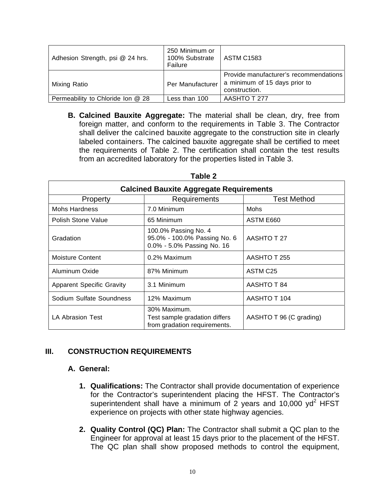| Adhesion Strength, psi @ 24 hrs.  | 250 Minimum or<br>100% Substrate<br>Failure | <b>ASTM C1583</b>                                                                        |
|-----------------------------------|---------------------------------------------|------------------------------------------------------------------------------------------|
| Mixing Ratio                      | Per Manufacturer                            | Provide manufacturer's recommendations<br>a minimum of 15 days prior to<br>construction. |
| Permeability to Chloride Ion @ 28 | Less than 100                               | AASHTO T 277                                                                             |

 shall deliver the calcined bauxite aggregate to the construction site in clearly **B. Calcined Bauxite Aggregate:** The material shall be clean, dry, free from foreign matter, and conform to the requirements in Table 3. The Contractor labeled containers. The calcined bauxite aggregate shall be certified to meet the requirements of Table 2. The certification shall contain the test results from an accredited laboratory for the properties listed in Table 3.

| <b>Calcined Bauxite Aggregate Requirements</b> |                                                                                    |                         |  |  |  |  |  |
|------------------------------------------------|------------------------------------------------------------------------------------|-------------------------|--|--|--|--|--|
| <b>Test Method</b><br>Requirements<br>Property |                                                                                    |                         |  |  |  |  |  |
| Mohs Hardness                                  | 7.0 Minimum                                                                        | <b>Mohs</b>             |  |  |  |  |  |
| Polish Stone Value                             | 65 Minimum                                                                         | ASTM E660               |  |  |  |  |  |
| Gradation                                      | 100.0% Passing No. 4<br>95.0% - 100.0% Passing No. 6<br>0.0% - 5.0% Passing No. 16 | AASHTO T 27             |  |  |  |  |  |
| <b>Moisture Content</b>                        | 0.2% Maximum                                                                       | AASHTO T 255            |  |  |  |  |  |
| Aluminum Oxide                                 | 87% Minimum                                                                        | ASTM C <sub>25</sub>    |  |  |  |  |  |
| <b>Apparent Specific Gravity</b>               | 3.1 Minimum                                                                        | AASHTO T 84             |  |  |  |  |  |
| Sodium Sulfate Soundness                       | 12% Maximum                                                                        | AASHTO T 104            |  |  |  |  |  |
| <b>LA Abrasion Test</b>                        | 30% Maximum.<br>Test sample gradation differs<br>from gradation requirements.      | AASHTO T 96 (C grading) |  |  |  |  |  |

#### **Table 2**

## **III. CONSTRUCTION REQUIREMENTS**

#### **A. General:**

- **1. Qualifications:** The Contractor shall provide documentation of experience for the Contractor's superintendent placing the HFST. The Contractor's superintendent shall have a minimum of 2 years and 10,000  $yd^2$  HFST experience on projects with other state highway agencies.
- **2. Quality Control (QC) Plan:** The Contractor shall submit a QC plan to the Engineer for approval at least 15 days prior to the placement of the HFST. The QC plan shall show proposed methods to control the equipment,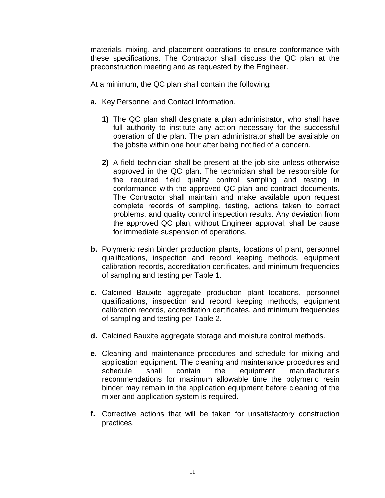materials, mixing, and placement operations to ensure conformance with these specifications. The Contractor shall discuss the QC plan at the preconstruction meeting and as requested by the Engineer.

At a minimum, the QC plan shall contain the following:

- **a.** Key Personnel and Contact Information.
	- **1)** The QC plan shall designate a plan administrator, who shall have full authority to institute any action necessary for the successful operation of the plan. The plan administrator shall be available on the jobsite within one hour after being notified of a concern.
	- **2)** A field technician shall be present at the job site unless otherwise approved in the QC plan. The technician shall be responsible for the required field quality control sampling and testing in conformance with the approved QC plan and contract documents. The Contractor shall maintain and make available upon request complete records of sampling, testing, actions taken to correct problems, and quality control inspection results. Any deviation from the approved QC plan, without Engineer approval, shall be cause for immediate suspension of operations.
- **b.** Polymeric resin binder production plants, locations of plant, personnel qualifications, inspection and record keeping methods, equipment calibration records, accreditation certificates, and minimum frequencies of sampling and testing per Table 1.
- **c.** Calcined Bauxite aggregate production plant locations, personnel qualifications, inspection and record keeping methods, equipment calibration records, accreditation certificates, and minimum frequencies of sampling and testing per Table 2.
- **d.** Calcined Bauxite aggregate storage and moisture control methods.
- **e.** Cleaning and maintenance procedures and schedule for mixing and application equipment. The cleaning and maintenance procedures and schedule shall contain the equipment manufacturer's recommendations for maximum allowable time the polymeric resin binder may remain in the application equipment before cleaning of the mixer and application system is required.
- **f.** Corrective actions that will be taken for unsatisfactory construction practices.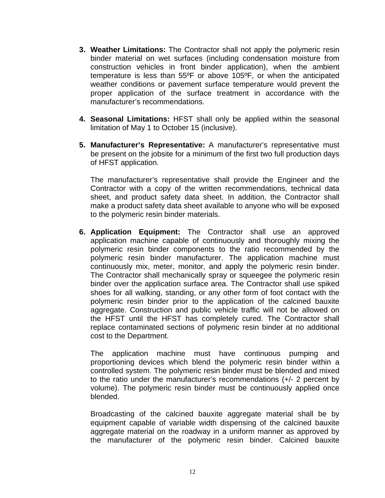- **3. Weather Limitations:** The Contractor shall not apply the polymeric resin binder material on wet surfaces (including condensation moisture from construction vehicles in front binder application), when the ambient temperature is less than 55ºF or above 105ºF, or when the anticipated weather conditions or pavement surface temperature would prevent the proper application of the surface treatment in accordance with the manufacturer's recommendations.
- **4. Seasonal Limitations:** HFST shall only be applied within the seasonal limitation of May 1 to October 15 (inclusive).
- **5. Manufacturer's Representative:** A manufacturer's representative must be present on the jobsite for a minimum of the first two full production days of HFST application.

The manufacturer's representative shall provide the Engineer and the Contractor with a copy of the written recommendations, technical data sheet, and product safety data sheet. In addition, the Contractor shall make a product safety data sheet available to anyone who will be exposed to the polymeric resin binder materials.

**6. Application Equipment:** The Contractor shall use an approved application machine capable of continuously and thoroughly mixing the polymeric resin binder components to the ratio recommended by the polymeric resin binder manufacturer. The application machine must continuously mix, meter, monitor, and apply the polymeric resin binder. The Contractor shall mechanically spray or squeegee the polymeric resin binder over the application surface area. The Contractor shall use spiked shoes for all walking, standing, or any other form of foot contact with the polymeric resin binder prior to the application of the calcined bauxite aggregate. Construction and public vehicle traffic will not be allowed on the HFST until the HFST has completely cured. The Contractor shall replace contaminated sections of polymeric resin binder at no additional cost to the Department.

The application machine must have continuous pumping and proportioning devices which blend the polymeric resin binder within a controlled system. The polymeric resin binder must be blended and mixed to the ratio under the manufacturer's recommendations (+/- 2 percent by volume). The polymeric resin binder must be continuously applied once blended.

Broadcasting of the calcined bauxite aggregate material shall be by equipment capable of variable width dispensing of the calcined bauxite aggregate material on the roadway in a uniform manner as approved by the manufacturer of the polymeric resin binder. Calcined bauxite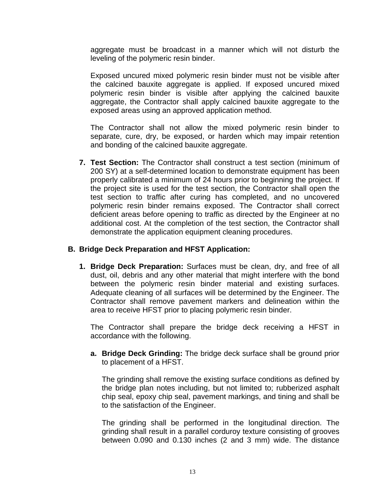aggregate must be broadcast in a manner which will not disturb the leveling of the polymeric resin binder.

Exposed uncured mixed polymeric resin binder must not be visible after the calcined bauxite aggregate is applied. If exposed uncured mixed polymeric resin binder is visible after applying the calcined bauxite aggregate, the Contractor shall apply calcined bauxite aggregate to the exposed areas using an approved application method.

The Contractor shall not allow the mixed polymeric resin binder to separate, cure, dry, be exposed, or harden which may impair retention and bonding of the calcined bauxite aggregate.

**7. Test Section:** The Contractor shall construct a test section (minimum of 200 SY) at a self-determined location to demonstrate equipment has been properly calibrated a minimum of 24 hours prior to beginning the project. If the project site is used for the test section, the Contractor shall open the test section to traffic after curing has completed, and no uncovered polymeric resin binder remains exposed. The Contractor shall correct deficient areas before opening to traffic as directed by the Engineer at no additional cost. At the completion of the test section, the Contractor shall demonstrate the application equipment cleaning procedures.

## **B. Bridge Deck Preparation and HFST Application:**

**1. Bridge Deck Preparation:** Surfaces must be clean, dry, and free of all dust, oil, debris and any other material that might interfere with the bond between the polymeric resin binder material and existing surfaces. Adequate cleaning of all surfaces will be determined by the Engineer. The Contractor shall remove pavement markers and delineation within the area to receive HFST prior to placing polymeric resin binder.

The Contractor shall prepare the bridge deck receiving a HFST in accordance with the following.

**a. Bridge Deck Grinding:** The bridge deck surface shall be ground prior to placement of a HFST.

The grinding shall remove the existing surface conditions as defined by the bridge plan notes including, but not limited to; rubberized asphalt chip seal, epoxy chip seal, pavement markings, and tining and shall be to the satisfaction of the Engineer.

The grinding shall be performed in the longitudinal direction. The grinding shall result in a parallel corduroy texture consisting of grooves between 0.090 and 0.130 inches (2 and 3 mm) wide. The distance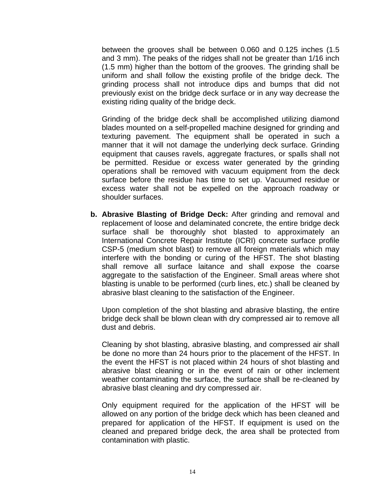between the grooves shall be between 0.060 and 0.125 inches (1.5 and 3 mm). The peaks of the ridges shall not be greater than 1/16 inch (1.5 mm) higher than the bottom of the grooves. The grinding shall be uniform and shall follow the existing profile of the bridge deck. The grinding process shall not introduce dips and bumps that did not previously exist on the bridge deck surface or in any way decrease the existing riding quality of the bridge deck.

Grinding of the bridge deck shall be accomplished utilizing diamond blades mounted on a self-propelled machine designed for grinding and texturing pavement. The equipment shall be operated in such a manner that it will not damage the underlying deck surface. Grinding equipment that causes ravels, aggregate fractures, or spalls shall not be permitted. Residue or excess water generated by the grinding operations shall be removed with vacuum equipment from the deck surface before the residue has time to set up. Vacuumed residue or excess water shall not be expelled on the approach roadway or shoulder surfaces.

**b. Abrasive Blasting of Bridge Deck:** After grinding and removal and replacement of loose and delaminated concrete, the entire bridge deck surface shall be thoroughly shot blasted to approximately an International Concrete Repair Institute (ICRI) concrete surface profile CSP-5 (medium shot blast) to remove all foreign materials which may interfere with the bonding or curing of the HFST. The shot blasting shall remove all surface laitance and shall expose the coarse aggregate to the satisfaction of the Engineer. Small areas where shot blasting is unable to be performed (curb lines, etc.) shall be cleaned by abrasive blast cleaning to the satisfaction of the Engineer.

Upon completion of the shot blasting and abrasive blasting, the entire bridge deck shall be blown clean with dry compressed air to remove all dust and debris.

Cleaning by shot blasting, abrasive blasting, and compressed air shall be done no more than 24 hours prior to the placement of the HFST. In the event the HFST is not placed within 24 hours of shot blasting and abrasive blast cleaning or in the event of rain or other inclement weather contaminating the surface, the surface shall be re-cleaned by abrasive blast cleaning and dry compressed air.

Only equipment required for the application of the HFST will be allowed on any portion of the bridge deck which has been cleaned and prepared for application of the HFST. If equipment is used on the cleaned and prepared bridge deck, the area shall be protected from contamination with plastic.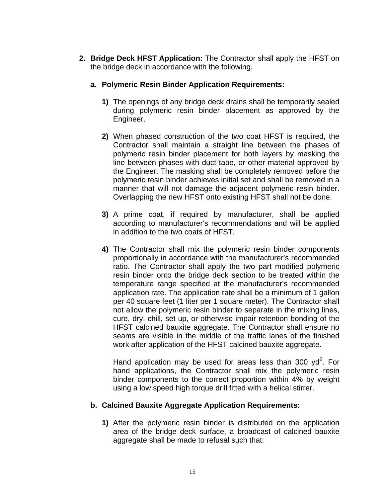- **2. Bridge Deck HFST Application:** The Contractor shall apply the HFST on the bridge deck in accordance with the following.
	- **a. Polymeric Resin Binder Application Requirements:** 
		- **1)** The openings of any bridge deck drains shall be temporarily sealed during polymeric resin binder placement as approved by the Engineer.
		- **2)** When phased construction of the two coat HFST is required, the Contractor shall maintain a straight line between the phases of polymeric resin binder placement for both layers by masking the line between phases with duct tape, or other material approved by the Engineer. The masking shall be completely removed before the polymeric resin binder achieves initial set and shall be removed in a manner that will not damage the adjacent polymeric resin binder. Overlapping the new HFST onto existing HFST shall not be done.
		- **3)** A prime coat, if required by manufacturer, shall be applied according to manufacturer's recommendations and will be applied in addition to the two coats of HFST.
		- **4)** The Contractor shall mix the polymeric resin binder components proportionally in accordance with the manufacturer's recommended ratio. The Contractor shall apply the two part modified polymeric resin binder onto the bridge deck section to be treated within the temperature range specified at the manufacturer's recommended application rate. The application rate shall be a minimum of 1 gallon per 40 square feet (1 liter per 1 square meter). The Contractor shall not allow the polymeric resin binder to separate in the mixing lines, cure, dry, chill, set up, or otherwise impair retention bonding of the HFST calcined bauxite aggregate. The Contractor shall ensure no seams are visible in the middle of the traffic lanes of the finished work after application of the HFST calcined bauxite aggregate.

Hand application may be used for areas less than 300  $yd^2$ . For hand applications, the Contractor shall mix the polymeric resin binder components to the correct proportion within 4% by weight using a low speed high torque drill fitted with a helical stirrer.

## **b. Calcined Bauxite Aggregate Application Requirements:**

**1)** After the polymeric resin binder is distributed on the application area of the bridge deck surface, a broadcast of calcined bauxite aggregate shall be made to refusal such that: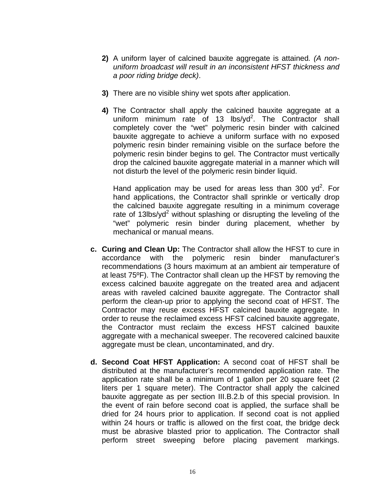- **2)** A uniform layer of calcined bauxite aggregate is attained*. (A nonuniform broadcast will result in an inconsistent HFST thickness and a poor riding bridge deck)*.
- **3)** There are no visible shiny wet spots after application.
- **4)** The Contractor shall apply the calcined bauxite aggregate at a uniform minimum rate of 13  $\text{lbs}\text{/yd}^2$ . The Contractor shall completely cover the "wet" polymeric resin binder with calcined bauxite aggregate to achieve a uniform surface with no exposed polymeric resin binder remaining visible on the surface before the polymeric resin binder begins to gel. The Contractor must vertically drop the calcined bauxite aggregate material in a manner which will not disturb the level of the polymeric resin binder liquid.

Hand application may be used for areas less than 300  $yd^2$ . For hand applications, the Contractor shall sprinkle or vertically drop the calcined bauxite aggregate resulting in a minimum coverage rate of 13lbs/yd<sup>2</sup> without splashing or disrupting the leveling of the "wet" polymeric resin binder during placement, whether by mechanical or manual means.

- **c. Curing and Clean Up:** The Contractor shall allow the HFST to cure in accordance with the polymeric resin binder manufacturer's recommendations (3 hours maximum at an ambient air temperature of at least 75ºF). The Contractor shall clean up the HFST by removing the excess calcined bauxite aggregate on the treated area and adjacent areas with raveled calcined bauxite aggregate. The Contractor shall perform the clean-up prior to applying the second coat of HFST. The Contractor may reuse excess HFST calcined bauxite aggregate. In order to reuse the reclaimed excess HFST calcined bauxite aggregate, the Contractor must reclaim the excess HFST calcined bauxite aggregate with a mechanical sweeper. The recovered calcined bauxite aggregate must be clean, uncontaminated, and dry.
- **d. Second Coat HFST Application:** A second coat of HFST shall be distributed at the manufacturer's recommended application rate. The application rate shall be a minimum of 1 gallon per 20 square feet (2 liters per 1 square meter). The Contractor shall apply the calcined bauxite aggregate as per section III.B.2.b of this special provision. In the event of rain before second coat is applied, the surface shall be dried for 24 hours prior to application. If second coat is not applied within 24 hours or traffic is allowed on the first coat, the bridge deck must be abrasive blasted prior to application. The Contractor shall perform street sweeping before placing pavement markings.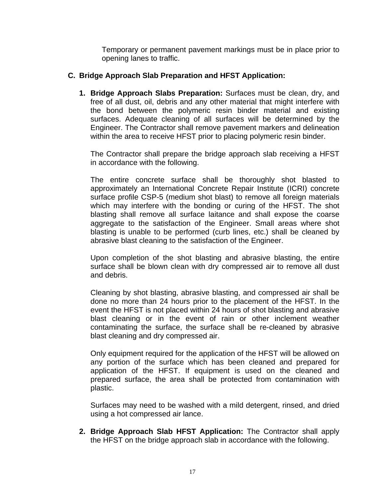Temporary or permanent pavement markings must be in place prior to opening lanes to traffic.

## C. Bridge Approach Slab Preparation and HFST Application:

1. Bridge Approach Slabs Preparation: Surfaces must be clean, dry, and free of all dust, oil, debris and any other material that might interfere with the bond between the polymeric resin binder material and existing surfaces. Adequate cleaning of all surfaces will be determined by the Engineer. The Contractor shall remove pavement markers and delineation within the area to receive HFST prior to placing polymeric resin binder.

The Contractor shall prepare the bridge approach slab receiving a HFST in accordance with the following.

The entire concrete surface shall be thoroughly shot blasted to approximately an International Concrete Repair Institute (ICRI) concrete surface profile CSP-5 (medium shot blast) to remove all foreign materials which may interfere with the bonding or curing of the HFST. The shot blasting shall remove all surface laitance and shall expose the coarse aggregate to the satisfaction of the Engineer. Small areas where shot blasting is unable to be performed (curb lines, etc.) shall be cleaned by abrasive blast cleaning to the satisfaction of the Engineer.

Upon completion of the shot blasting and abrasive blasting, the entire surface shall be blown clean with dry compressed air to remove all dust and debris.

Cleaning by shot blasting, abrasive blasting, and compressed air shall be done no more than 24 hours prior to the placement of the HFST. In the event the HFST is not placed within 24 hours of shot blasting and abrasive blast cleaning or in the event of rain or other inclement weather contaminating the surface, the surface shall be re-cleaned by abrasive blast cleaning and dry compressed air.

Only equipment required for the application of the HFST will be allowed on any portion of the surface which has been cleaned and prepared for application of the HFST. If equipment is used on the cleaned and prepared surface, the area shall be protected from contamination with plastic.

Surfaces may need to be washed with a mild detergent, rinsed, and dried using a hot compressed air lance.

**2. Bridge Approach Slab HFST Application:** The Contractor shall apply the HFST on the bridge approach slab in accordance with the following.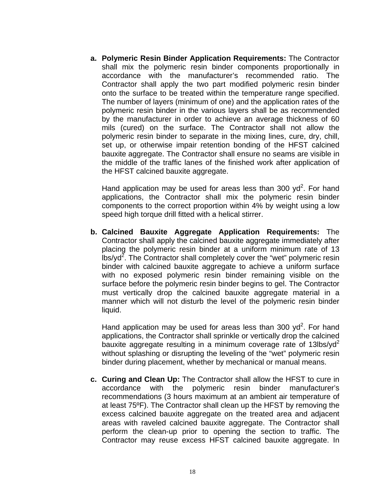**a. Polymeric Resin Binder Application Requirements:** The Contractor shall mix the polymeric resin binder components proportionally in accordance with the manufacturer's recommended ratio. The Contractor shall apply the two part modified polymeric resin binder onto the surface to be treated within the temperature range specified. The number of layers (minimum of one) and the application rates of the polymeric resin binder in the various layers shall be as recommended by the manufacturer in order to achieve an average thickness of 60 mils (cured) on the surface. The Contractor shall not allow the polymeric resin binder to separate in the mixing lines, cure, dry, chill, set up, or otherwise impair retention bonding of the HFST calcined bauxite aggregate. The Contractor shall ensure no seams are visible in the middle of the traffic lanes of the finished work after application of the HFST calcined bauxite aggregate.

Hand application may be used for areas less than 300  $yd^2$ . For hand applications, the Contractor shall mix the polymeric resin binder components to the correct proportion within 4% by weight using a low speed high torque drill fitted with a helical stirrer.

**b. Calcined Bauxite Aggregate Application Requirements:** The Contractor shall apply the calcined bauxite aggregate immediately after placing the polymeric resin binder at a uniform minimum rate of 13  $\frac{1}{10}$ bs/yd<sup>2</sup>. The Contractor shall completely cover the "wet" polymeric resin binder with calcined bauxite aggregate to achieve a uniform surface with no exposed polymeric resin binder remaining visible on the surface before the polymeric resin binder begins to gel. The Contractor must vertically drop the calcined bauxite aggregate material in a manner which will not disturb the level of the polymeric resin binder liquid.

Hand application may be used for areas less than 300  $yd^2$ . For hand applications, the Contractor shall sprinkle or vertically drop the calcined bauxite aggregate resulting in a minimum coverage rate of 13lbs/yd<sup>2</sup> without splashing or disrupting the leveling of the "wet" polymeric resin binder during placement, whether by mechanical or manual means.

**c. Curing and Clean Up:** The Contractor shall allow the HFST to cure in accordance with the polymeric resin binder manufacturer's recommendations (3 hours maximum at an ambient air temperature of at least 75ºF). The Contractor shall clean up the HFST by removing the excess calcined bauxite aggregate on the treated area and adjacent areas with raveled calcined bauxite aggregate. The Contractor shall perform the clean-up prior to opening the section to traffic. The Contractor may reuse excess HFST calcined bauxite aggregate. In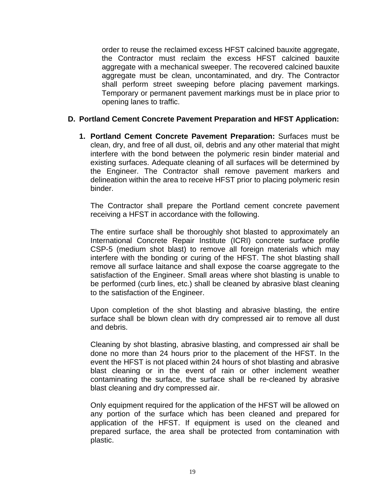order to reuse the reclaimed excess HFST calcined bauxite aggregate, the Contractor must reclaim the excess HFST calcined bauxite aggregate with a mechanical sweeper. The recovered calcined bauxite aggregate must be clean, uncontaminated, and dry. The Contractor shall perform street sweeping before placing pavement markings. Temporary or permanent pavement markings must be in place prior to opening lanes to traffic.

# **D. Portland Cement Concrete Pavement Preparation and HFST Application: 1. Portland Cement Concrete Pavement Preparation:** Surfaces must be

clean, dry, and free of all dust, oil, debris and any other material that might interfere with the bond between the polymeric resin binder material and existing surfaces. Adequate cleaning of all surfaces will be determined by the Engineer. The Contractor shall remove pavement markers and delineation within the area to receive HFST prior to placing polymeric resin binder.

The Contractor shall prepare the Portland cement concrete pavement receiving a HFST in accordance with the following.

The entire surface shall be thoroughly shot blasted to approximately an International Concrete Repair Institute (ICRI) concrete surface profile CSP-5 (medium shot blast) to remove all foreign materials which may interfere with the bonding or curing of the HFST. The shot blasting shall remove all surface laitance and shall expose the coarse aggregate to the satisfaction of the Engineer. Small areas where shot blasting is unable to be performed (curb lines, etc.) shall be cleaned by abrasive blast cleaning to the satisfaction of the Engineer.

Upon completion of the shot blasting and abrasive blasting, the entire surface shall be blown clean with dry compressed air to remove all dust and debris.

Cleaning by shot blasting, abrasive blasting, and compressed air shall be done no more than 24 hours prior to the placement of the HFST. In the event the HFST is not placed within 24 hours of shot blasting and abrasive blast cleaning or in the event of rain or other inclement weather contaminating the surface, the surface shall be re-cleaned by abrasive blast cleaning and dry compressed air.

Only equipment required for the application of the HFST will be allowed on any portion of the surface which has been cleaned and prepared for application of the HFST. If equipment is used on the cleaned and prepared surface, the area shall be protected from contamination with plastic.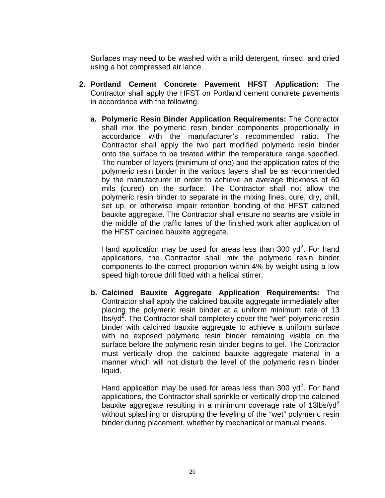Surfaces may need to be washed with a mild detergent, rinsed, and dried using a hot compressed air lance.

- **2. Portland Cement Concrete Pavement HFST Application:** The Contractor shall apply the HFST on Portland cement concrete pavements in accordance with the following.
	- **a. Polymeric Resin Binder Application Requirements:** The Contractor shall mix the polymeric resin binder components proportionally in accordance with the manufacturer's recommended ratio. The Contractor shall apply the two part modified polymeric resin binder onto the surface to be treated within the temperature range specified. The number of layers (minimum of one) and the application rates of the polymeric resin binder in the various layers shall be as recommended by the manufacturer in order to achieve an average thickness of 60 mils (cured) on the surface. The Contractor shall not allow the polymeric resin binder to separate in the mixing lines, cure, dry, chill, set up, or otherwise impair retention bonding of the HFST calcined bauxite aggregate. The Contractor shall ensure no seams are visible in the middle of the traffic lanes of the finished work after application of the HFST calcined bauxite aggregate.

Hand application may be used for areas less than 300  $yd^2$ . For hand applications, the Contractor shall mix the polymeric resin binder components to the correct proportion within 4% by weight using a low speed high torque drill fitted with a helical stirrer.

**b. Calcined Bauxite Aggregate Application Requirements:** The Contractor shall apply the calcined bauxite aggregate immediately after placing the polymeric resin binder at a uniform minimum rate of 13  $\frac{1}{10}$ bs/yd<sup>2</sup>. The Contractor shall completely cover the "wet" polymeric resin binder with calcined bauxite aggregate to achieve a uniform surface with no exposed polymeric resin binder remaining visible on the surface before the polymeric resin binder begins to gel. The Contractor must vertically drop the calcined bauxite aggregate material in a manner which will not disturb the level of the polymeric resin binder liquid.

Hand application may be used for areas less than 300  $yd^2$ . For hand applications, the Contractor shall sprinkle or vertically drop the calcined bauxite aggregate resulting in a minimum coverage rate of 13lbs/yd<sup>2</sup> without splashing or disrupting the leveling of the "wet" polymeric resin binder during placement, whether by mechanical or manual means.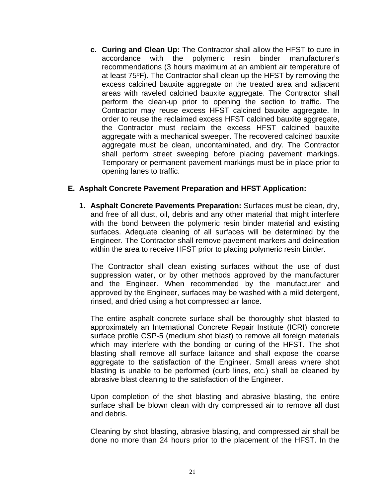**c. Curing and Clean Up:** The Contractor shall allow the HFST to cure in accordance with the polymeric resin binder manufacturer's recommendations (3 hours maximum at an ambient air temperature of at least 75ºF). The Contractor shall clean up the HFST by removing the excess calcined bauxite aggregate on the treated area and adjacent areas with raveled calcined bauxite aggregate. The Contractor shall perform the clean-up prior to opening the section to traffic. The Contractor may reuse excess HFST calcined bauxite aggregate. In order to reuse the reclaimed excess HFST calcined bauxite aggregate, the Contractor must reclaim the excess HFST calcined bauxite aggregate with a mechanical sweeper. The recovered calcined bauxite aggregate must be clean, uncontaminated, and dry. The Contractor shall perform street sweeping before placing pavement markings. Temporary or permanent pavement markings must be in place prior to opening lanes to traffic.

## **E. Asphalt Concrete Pavement Preparation and HFST Application:**

**1. Asphalt Concrete Pavements Preparation:** Surfaces must be clean, dry, and free of all dust, oil, debris and any other material that might interfere with the bond between the polymeric resin binder material and existing surfaces. Adequate cleaning of all surfaces will be determined by the Engineer. The Contractor shall remove pavement markers and delineation within the area to receive HFST prior to placing polymeric resin binder.

The Contractor shall clean existing surfaces without the use of dust suppression water, or by other methods approved by the manufacturer and the Engineer. When recommended by the manufacturer and approved by the Engineer, surfaces may be washed with a mild detergent, rinsed, and dried using a hot compressed air lance.

The entire asphalt concrete surface shall be thoroughly shot blasted to approximately an International Concrete Repair Institute (ICRI) concrete surface profile CSP-5 (medium shot blast) to remove all foreign materials which may interfere with the bonding or curing of the HFST. The shot blasting shall remove all surface laitance and shall expose the coarse aggregate to the satisfaction of the Engineer. Small areas where shot blasting is unable to be performed (curb lines, etc.) shall be cleaned by abrasive blast cleaning to the satisfaction of the Engineer.

Upon completion of the shot blasting and abrasive blasting, the entire surface shall be blown clean with dry compressed air to remove all dust and debris.

Cleaning by shot blasting, abrasive blasting, and compressed air shall be done no more than 24 hours prior to the placement of the HFST. In the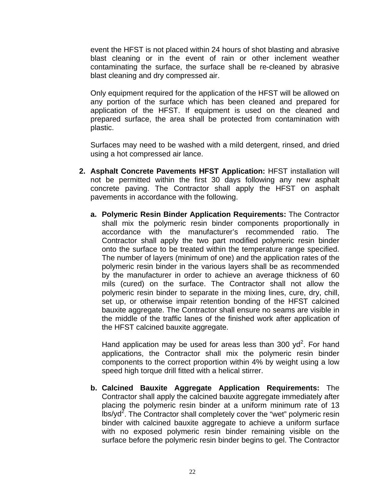event the HFST is not placed within 24 hours of shot blasting and abrasive blast cleaning or in the event of rain or other inclement weather contaminating the surface, the surface shall be re-cleaned by abrasive blast cleaning and dry compressed air.

Only equipment required for the application of the HFST will be allowed on any portion of the surface which has been cleaned and prepared for application of the HFST. If equipment is used on the cleaned and prepared surface, the area shall be protected from contamination with plastic.

Surfaces may need to be washed with a mild detergent, rinsed, and dried using a hot compressed air lance.

- **2. Asphalt Concrete Pavements HFST Application:** HFST installation will not be permitted within the first 30 days following any new asphalt concrete paving. The Contractor shall apply the HFST on asphalt pavements in accordance with the following.
	- **a. Polymeric Resin Binder Application Requirements:** The Contractor shall mix the polymeric resin binder components proportionally in accordance with the manufacturer's recommended ratio. The Contractor shall apply the two part modified polymeric resin binder onto the surface to be treated within the temperature range specified. The number of layers (minimum of one) and the application rates of the polymeric resin binder in the various layers shall be as recommended by the manufacturer in order to achieve an average thickness of 60 mils (cured) on the surface. The Contractor shall not allow the polymeric resin binder to separate in the mixing lines, cure, dry, chill, set up, or otherwise impair retention bonding of the HFST calcined bauxite aggregate. The Contractor shall ensure no seams are visible in the middle of the traffic lanes of the finished work after application of the HFST calcined bauxite aggregate.

Hand application may be used for areas less than 300  $yd^2$ . For hand applications, the Contractor shall mix the polymeric resin binder components to the correct proportion within 4% by weight using a low speed high torque drill fitted with a helical stirrer.

**b. Calcined Bauxite Aggregate Application Requirements:** The Contractor shall apply the calcined bauxite aggregate immediately after placing the polymeric resin binder at a uniform minimum rate of 13  $\mu$ bs/yd<sup>2</sup>. The Contractor shall completely cover the "wet" polymeric resin binder with calcined bauxite aggregate to achieve a uniform surface with no exposed polymeric resin binder remaining visible on the surface before the polymeric resin binder begins to gel. The Contractor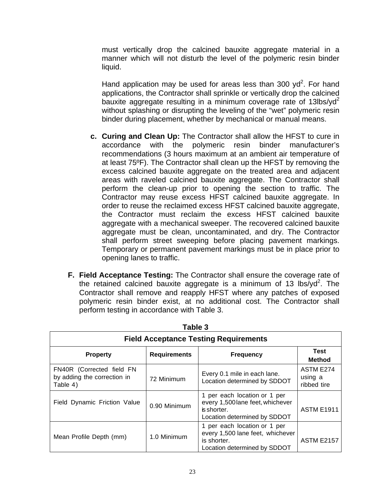must vertically drop the calcined bauxite aggregate material in a manner which will not disturb the level of the polymeric resin binder liquid.

Hand application may be used for areas less than 300  $yd^2$ . For hand applications, the Contractor shall sprinkle or vertically drop the calcined bauxite aggregate resulting in a minimum coverage rate of  $13$ lbs/yd<sup>2</sup> without splashing or disrupting the leveling of the "wet" polymeric resin binder during placement, whether by mechanical or manual means.

- **c. Curing and Clean Up:** The Contractor shall allow the HFST to cure in accordance with the polymeric resin binder manufacturer's recommendations (3 hours maximum at an ambient air temperature of at least 75ºF). The Contractor shall clean up the HFST by removing the excess calcined bauxite aggregate on the treated area and adjacent areas with raveled calcined bauxite aggregate. The Contractor shall perform the clean-up prior to opening the section to traffic. The Contractor may reuse excess HFST calcined bauxite aggregate. In order to reuse the reclaimed excess HFST calcined bauxite aggregate. the Contractor must reclaim the excess HFST calcined bauxite aggregate with a mechanical sweeper. The recovered calcined bauxite aggregate must be clean, uncontaminated, and dry. The Contractor shall perform street sweeping before placing pavement markings. Temporary or permanent pavement markings must be in place prior to opening lanes to traffic.
- **F. Field Acceptance Testing:** The Contractor shall ensure the coverage rate of the retained calcined bauxite aggregate is a minimum of 13 lbs/yd<sup>2</sup>. The Contractor shall remove and reapply HFST where any patches of exposed polymeric resin binder exist, at no additional cost. The Contractor shall perform testing in accordance with Table 3.

| <b>Field Acceptance Testing Requirements</b>                         |                              |                                                                                                                 |                                     |  |  |  |
|----------------------------------------------------------------------|------------------------------|-----------------------------------------------------------------------------------------------------------------|-------------------------------------|--|--|--|
| <b>Property</b>                                                      | <b>Test</b><br><b>Method</b> |                                                                                                                 |                                     |  |  |  |
| FN40R (Corrected field FN<br>by adding the correction in<br>Table 4) | 72 Minimum                   | Every 0.1 mile in each lane.<br>Location determined by SDDOT                                                    | ASTM E274<br>using a<br>ribbed tire |  |  |  |
| Field Dynamic Friction Value<br>0.90 Minimum                         |                              | 1 per each location or 1 per<br>every 1,500 lane feet, whichever<br>is shorter.<br>Location determined by SDDOT | <b>ASTM E1911</b>                   |  |  |  |
| Mean Profile Depth (mm)                                              | 1.0 Minimum                  | 1 per each location or 1 per<br>every 1,500 lane feet, whichever<br>is shorter.<br>Location determined by SDDOT | <b>ASTM E2157</b>                   |  |  |  |

**Table 3**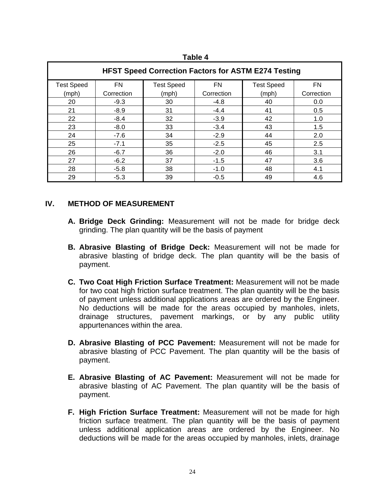| ומו<br>. . |  |
|------------|--|
|------------|--|

| <b>HFST Speed Correction Factors for ASTM E274 Testing</b> |            |                   |            |                   |            |  |  |
|------------------------------------------------------------|------------|-------------------|------------|-------------------|------------|--|--|
| <b>Test Speed</b>                                          | <b>FN</b>  | <b>Test Speed</b> | <b>FN</b>  | <b>Test Speed</b> | <b>FN</b>  |  |  |
| (mph)                                                      | Correction | (mph)             | Correction | (mph)             | Correction |  |  |
| 20                                                         | $-9.3$     | 30                | $-4.8$     | 40                | 0.0        |  |  |
| 21                                                         | $-8.9$     | 31                | $-4.4$     | 41                | 0.5        |  |  |
| 22                                                         | $-8.4$     | 32                | $-3.9$     | 42                | 1.0        |  |  |
| 23                                                         | $-8.0$     | 33                | $-3.4$     | 43                | 1.5        |  |  |
| 24                                                         | $-7.6$     | 34                | $-2.9$     | 44                | 2.0        |  |  |
| 25                                                         | $-7.1$     | 35                | $-2.5$     | 45                | 2.5        |  |  |
| 26                                                         | $-6.7$     | 36                | $-2.0$     | 46                | 3.1        |  |  |
| 27                                                         | $-6.2$     | 37                | $-1.5$     | 47                | 3.6        |  |  |
| 28                                                         | $-5.8$     | 38                | $-1.0$     | 48                | 4.1        |  |  |
| 29                                                         | $-5.3$     | 39                | $-0.5$     | 49                | 4.6        |  |  |

## **IV. METHOD OF MEASUREMENT**

- **A. Bridge Deck Grinding:** Measurement will not be made for bridge deck grinding. The plan quantity will be the basis of payment
- **B. Abrasive Blasting of Bridge Deck:** Measurement will not be made for abrasive blasting of bridge deck. The plan quantity will be the basis of payment.
- **C. Two Coat High Friction Surface Treatment:** Measurement will not be made for two coat high friction surface treatment. The plan quantity will be the basis of payment unless additional applications areas are ordered by the Engineer. No deductions will be made for the areas occupied by manholes, inlets, drainage structures, pavement markings, or by any public utility appurtenances within the area.
- **D. Abrasive Blasting of PCC Pavement:** Measurement will not be made for abrasive blasting of PCC Pavement. The plan quantity will be the basis of payment.
- **E. Abrasive Blasting of AC Pavement:** Measurement will not be made for abrasive blasting of AC Pavement. The plan quantity will be the basis of payment.
- **F. High Friction Surface Treatment:** Measurement will not be made for high friction surface treatment. The plan quantity will be the basis of payment unless additional application areas are ordered by the Engineer. No deductions will be made for the areas occupied by manholes, inlets, drainage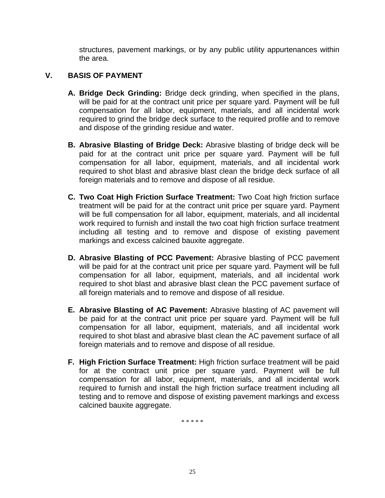structures, pavement markings, or by any public utility appurtenances within the area.

## **V. BASIS OF PAYMENT**

- **A. Bridge Deck Grinding:** Bridge deck grinding, when specified in the plans, will be paid for at the contract unit price per square yard. Payment will be full compensation for all labor, equipment, materials, and all incidental work required to grind the bridge deck surface to the required profile and to remove and dispose of the grinding residue and water.
- **B. Abrasive Blasting of Bridge Deck:** Abrasive blasting of bridge deck will be paid for at the contract unit price per square yard. Payment will be full compensation for all labor, equipment, materials, and all incidental work required to shot blast and abrasive blast clean the bridge deck surface of all foreign materials and to remove and dispose of all residue.
- **C. Two Coat High Friction Surface Treatment:** Two Coat high friction surface treatment will be paid for at the contract unit price per square yard. Payment will be full compensation for all labor, equipment, materials, and all incidental work required to furnish and install the two coat high friction surface treatment including all testing and to remove and dispose of existing pavement markings and excess calcined bauxite aggregate.
- **D. Abrasive Blasting of PCC Pavement:** Abrasive blasting of PCC pavement will be paid for at the contract unit price per square yard. Payment will be full compensation for all labor, equipment, materials, and all incidental work required to shot blast and abrasive blast clean the PCC pavement surface of all foreign materials and to remove and dispose of all residue.
- **E. Abrasive Blasting of AC Pavement:** Abrasive blasting of AC pavement will be paid for at the contract unit price per square yard. Payment will be full compensation for all labor, equipment, materials, and all incidental work required to shot blast and abrasive blast clean the AC pavement surface of all foreign materials and to remove and dispose of all residue.
- **F. High Friction Surface Treatment:** High friction surface treatment will be paid for at the contract unit price per square yard. Payment will be full compensation for all labor, equipment, materials, and all incidental work required to furnish and install the high friction surface treatment including all testing and to remove and dispose of existing pavement markings and excess calcined bauxite aggregate.

\* \* \* \* \*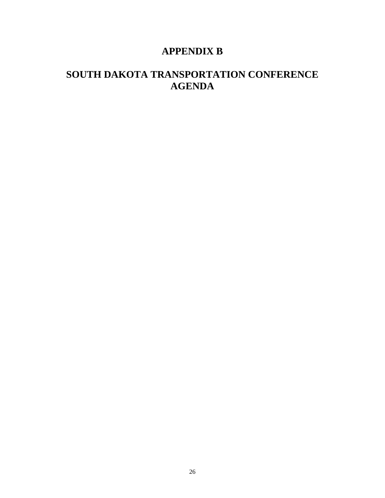## **APPENDIX B**

## **SOUTH DAKOTA TRANSPORTATION CONFERENCE AGENDA**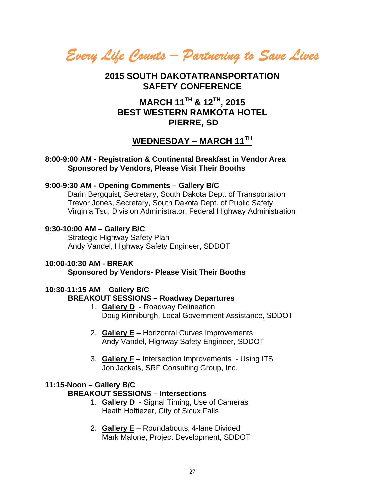*Every Life Counts – Partnering to Save Lives* 

## **2015 SOUTH DAKOTATRANSPORTATION SAFETY CONFERENCE**

## **MARCH 11TH & 12TH, 2015 BEST WESTERN RAMKOTA HOTEL PIERRE, SD**

## **WEDNESDAY – MARCH 11TH**

#### **8:00-9:00 AM - Registration & Continental Breakfast in Vendor Area Sponsored by Vendors, Please Visit Their Booths**

## **9:00-9:30 AM - Opening Comments – Gallery B/C**

Darin Bergquist, Secretary, South Dakota Dept. of Transportation Trevor Jones, Secretary, South Dakota Dept. of Public Safety Virginia Tsu, Division Administrator, Federal Highway Administration

## **9:30-10:00 AM – Gallery B/C**

Strategic Highway Safety Plan Andy Vandel, Highway Safety Engineer, SDDOT

#### **10:00-10:30 AM - BREAK Sponsored by Vendors- Please Visit Their Booths**

#### **10:30-11:15 AM – Gallery B/C BREAKOUT SESSIONS – Roadway Departures**

- 1. **Gallery D** Roadway Delineation Doug Kinniburgh, Local Government Assistance, SDDOT
- 2. **Gallery E** Horizontal Curves Improvements Andy Vandel, Highway Safety Engineer, SDDOT
- 3. **Gallery F** Intersection Improvements Using ITS Jon Jackels, SRF Consulting Group, Inc.

## **11:15-Noon – Gallery B/C**

## **BREAKOUT SESSIONS – Intersections**

- 1. **Gallery D** Signal Timing, Use of Cameras Heath Hoftiezer, City of Sioux Falls
- 2. **Gallery E** Roundabouts, 4-lane Divided Mark Malone, Project Development, SDDOT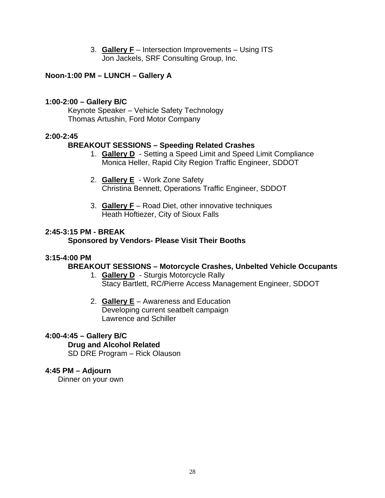3. **Gallery F** – Intersection Improvements – Using ITS Jon Jackels, SRF Consulting Group, Inc.

## **Noon-1:00 PM – LUNCH – Gallery A**

## **1:00-2:00 – Gallery B/C**

Keynote Speaker – Vehicle Safety Technology Thomas Artushin, Ford Motor Company

## **2:00-2:45**

## **BREAKOUT SESSIONS – Speeding Related Crashes**

- 1. **Gallery D** Setting a Speed Limit and Speed Limit Compliance Monica Heller, Rapid City Region Traffic Engineer, SDDOT
- 2. **Gallery E** Work Zone Safety Christina Bennett, Operations Traffic Engineer, SDDOT
- 3. **Gallery F** Road Diet, other innovative techniques Heath Hoftiezer, City of Sioux Falls

## **2:45-3:15 PM - BREAK**

## **Sponsored by Vendors- Please Visit Their Booths**

## **3:15-4:00 PM**

## **BREAKOUT SESSIONS – Motorcycle Crashes, Unbelted Vehicle Occupants**

- 1. **Gallery D** Sturgis Motorcycle Rally Stacy Bartlett, RC/Pierre Access Management Engineer, SDDOT
- 2. **Gallery E** Awareness and Education Developing current seatbelt campaign Lawrence and Schiller

## **4:00-4:45 – Gallery B/C**

#### **Drug and Alcohol Related**

SD DRE Program – Rick Olauson

## **4:45 PM – Adjourn**

Dinner on your own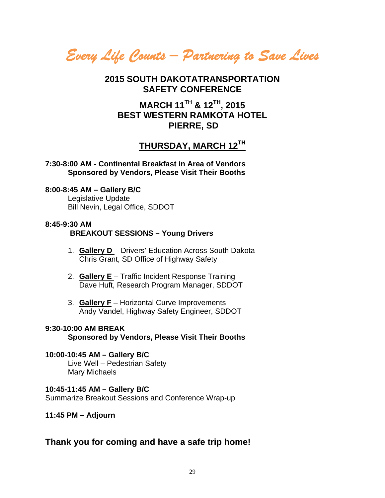*Every Life Counts – Partnering to Save Lives* 

## **2015 SOUTH DAKOTATRANSPORTATION SAFETY CONFERENCE**

## **MARCH 11TH & 12TH, 2015 BEST WESTERN RAMKOTA HOTEL PIERRE, SD**

## **THURSDAY, MARCH 12TH**

**7:30-8:00 AM - Continental Breakfast in Area of Vendors Sponsored by Vendors, Please Visit Their Booths** 

## **8:00-8:45 AM – Gallery B/C**

Legislative Update Bill Nevin, Legal Office, SDDOT

#### **8:45-9:30 AM BREAKOUT SESSIONS – Young Drivers**

- 1. **Gallery D**  Drivers' Education Across South Dakota Chris Grant, SD Office of Highway Safety
- 2. **Gallery E**  Traffic Incident Response Training Dave Huft, Research Program Manager, SDDOT
- 3. **Gallery F** Horizontal Curve Improvements Andy Vandel, Highway Safety Engineer, SDDOT

#### **9:30-10:00 AM BREAK Sponsored by Vendors, Please Visit Their Booths**

## **10:00-10:45 AM – Gallery B/C**  Live Well – Pedestrian Safety

Mary Michaels

## **10:45-11:45 AM – Gallery B/C**

Summarize Breakout Sessions and Conference Wrap-up

## **11:45 PM – Adjourn**

## **Thank you for coming and have a safe trip home!**